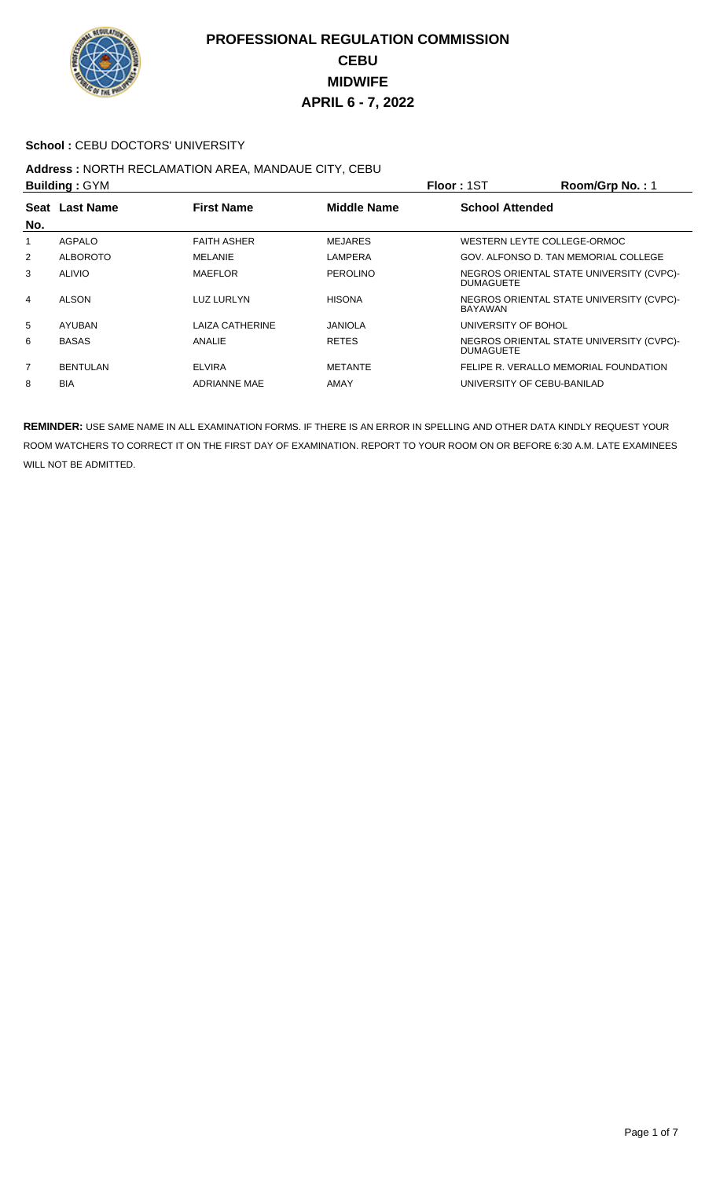

## School : CEBU DOCTORS' UNIVERSITY

# **Address :** NORTH RECLAMATION AREA, MANDAUE CITY, CEBU

| <b>Building: GYM</b> |                                                           |                     | Room/Grp No.: 1<br>Floor: 1ST |                                                              |  |
|----------------------|-----------------------------------------------------------|---------------------|-------------------------------|--------------------------------------------------------------|--|
|                      | <b>Middle Name</b><br>Seat Last Name<br><b>First Name</b> |                     |                               | <b>School Attended</b>                                       |  |
| No.                  |                                                           |                     |                               |                                                              |  |
| 1                    | AGPALO                                                    | <b>FAITH ASHER</b>  | <b>MEJARES</b>                | WESTERN LEYTE COLLEGE-ORMOC                                  |  |
| $\overline{2}$       | <b>ALBOROTO</b>                                           | MELANIE             | LAMPERA                       | GOV. ALFONSO D. TAN MEMORIAL COLLEGE                         |  |
| 3                    | <b>ALIVIO</b>                                             | <b>MAEFLOR</b>      | <b>PEROLINO</b>               | NEGROS ORIENTAL STATE UNIVERSITY (CVPC)-<br><b>DUMAGUETE</b> |  |
| 4                    | <b>ALSON</b>                                              | <b>LUZ LURLYN</b>   | <b>HISONA</b>                 | NEGROS ORIENTAL STATE UNIVERSITY (CVPC)-<br>BAYAWAN          |  |
| 5                    | <b>AYUBAN</b>                                             | LAIZA CATHERINE     | <b>JANIOLA</b>                | UNIVERSITY OF BOHOL                                          |  |
| 6                    | <b>BASAS</b>                                              | ANALIE              | <b>RETES</b>                  | NEGROS ORIENTAL STATE UNIVERSITY (CVPC)-<br><b>DUMAGUETE</b> |  |
| $\overline{7}$       | <b>BENTULAN</b>                                           | <b>ELVIRA</b>       | <b>METANTE</b>                | FELIPE R. VERALLO MEMORIAL FOUNDATION                        |  |
| 8                    | <b>BIA</b>                                                | <b>ADRIANNE MAE</b> | AMAY                          | UNIVERSITY OF CEBU-BANILAD                                   |  |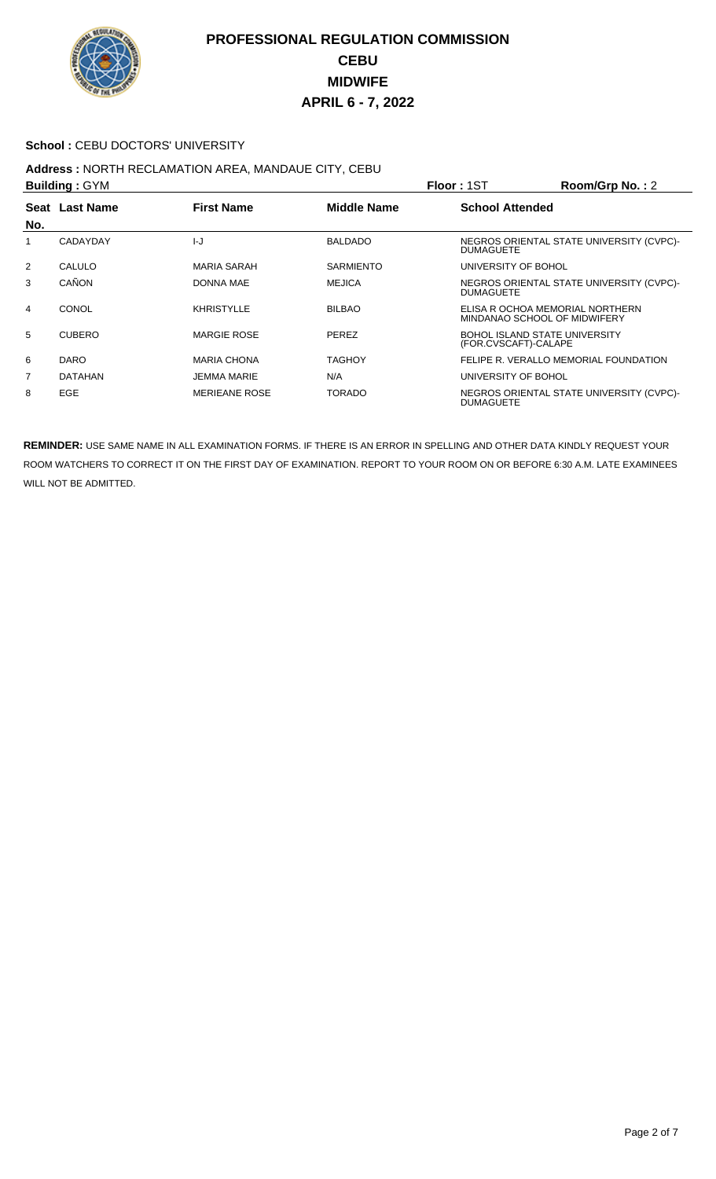

## School : CEBU DOCTORS' UNIVERSITY

#### **Address :** NORTH RECLAMATION AREA, MANDAUE CITY, CEBU **Building :** GYM **Floor :** 1ST **Room/Grp No. :** 2

| <b>DUILUILLY . OT IVE</b> |                |                      | <b>FIUUI. IOI</b><br><b>NUUIIIUI U INU.</b> . Z |                                                                 |  |
|---------------------------|----------------|----------------------|-------------------------------------------------|-----------------------------------------------------------------|--|
| No.                       | Seat Last Name | <b>First Name</b>    | <b>Middle Name</b>                              | <b>School Attended</b>                                          |  |
|                           | CADAYDAY       | $l - J$              | <b>BALDADO</b>                                  | NEGROS ORIENTAL STATE UNIVERSITY (CVPC)-<br><b>DUMAGUETE</b>    |  |
| 2                         | CALULO         | MARIA SARAH          | <b>SARMIENTO</b>                                | UNIVERSITY OF BOHOL                                             |  |
| 3                         | CAÑON          | <b>DONNA MAE</b>     | <b>MEJICA</b>                                   | NEGROS ORIENTAL STATE UNIVERSITY (CVPC)-<br><b>DUMAGUETE</b>    |  |
| 4                         | <b>CONOL</b>   | <b>KHRISTYLLE</b>    | <b>BILBAO</b>                                   | ELISA R OCHOA MEMORIAL NORTHERN<br>MINDANAO SCHOOL OF MIDWIFERY |  |
| 5                         | <b>CUBERO</b>  | <b>MARGIE ROSE</b>   | PEREZ                                           | <b>BOHOL ISLAND STATE UNIVERSITY</b><br>(FOR.CVSCAFT)-CALAPE    |  |
| 6                         | <b>DARO</b>    | <b>MARIA CHONA</b>   | TAGHOY                                          | FELIPE R. VERALLO MEMORIAL FOUNDATION                           |  |
| $\overline{7}$            | <b>DATAHAN</b> | <b>JEMMA MARIE</b>   | N/A                                             | UNIVERSITY OF BOHOL                                             |  |
| 8                         | <b>EGE</b>     | <b>MERIEANE ROSE</b> | <b>TORADO</b>                                   | NEGROS ORIENTAL STATE UNIVERSITY (CVPC)-<br><b>DUMAGUETE</b>    |  |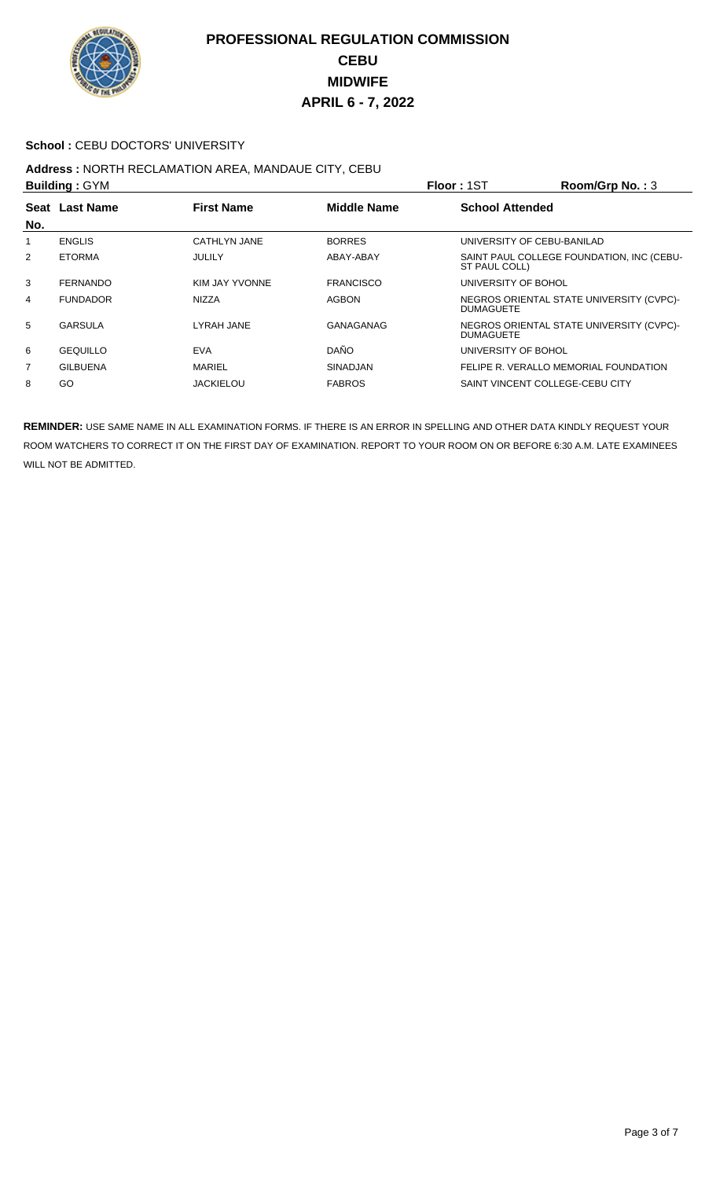

## **School : CEBU DOCTORS' UNIVERSITY**

#### **Address :** NORTH RECLAMATION AREA, MANDAUE CITY, CEBU **Building :** GYM **Floor :** 1ST **Room/Grp No. :** 3

| <b>DUIIUIIIU .</b> UTIVI |                                                           |                  | <b>FIUUI. I</b> JI     | <b>0. טאו עושטוויטט</b> |                                           |
|--------------------------|-----------------------------------------------------------|------------------|------------------------|-------------------------|-------------------------------------------|
|                          | <b>First Name</b><br><b>Middle Name</b><br>Seat Last Name |                  | <b>School Attended</b> |                         |                                           |
| No.                      |                                                           |                  |                        |                         |                                           |
| 1                        | <b>ENGLIS</b>                                             | CATHLYN JANE     | <b>BORRES</b>          |                         | UNIVERSITY OF CEBU-BANILAD                |
| 2                        | <b>ETORMA</b>                                             | <b>JULILY</b>    | ABAY-ABAY              | ST PAUL COLL)           | SAINT PAUL COLLEGE FOUNDATION, INC (CEBU- |
| 3                        | <b>FERNANDO</b>                                           | KIM JAY YVONNE   | <b>FRANCISCO</b>       | UNIVERSITY OF BOHOL     |                                           |
| 4                        | <b>FUNDADOR</b>                                           | <b>NIZZA</b>     | <b>AGBON</b>           | <b>DUMAGUETE</b>        | NEGROS ORIENTAL STATE UNIVERSITY (CVPC)-  |
| 5                        | <b>GARSULA</b>                                            | LYRAH JANE       | GANAGANAG              | <b>DUMAGUETE</b>        | NEGROS ORIENTAL STATE UNIVERSITY (CVPC)-  |
| 6                        | <b>GEQUILLO</b>                                           | <b>EVA</b>       | DAÑO                   | UNIVERSITY OF BOHOL     |                                           |
| 7                        | <b>GILBUENA</b>                                           | MARIEL           | <b>SINADJAN</b>        |                         | FELIPE R. VERALLO MEMORIAL FOUNDATION     |
| 8                        | GO                                                        | <b>JACKIELOU</b> | <b>FABROS</b>          |                         | SAINT VINCENT COLLEGE-CEBU CITY           |
|                          |                                                           |                  |                        |                         |                                           |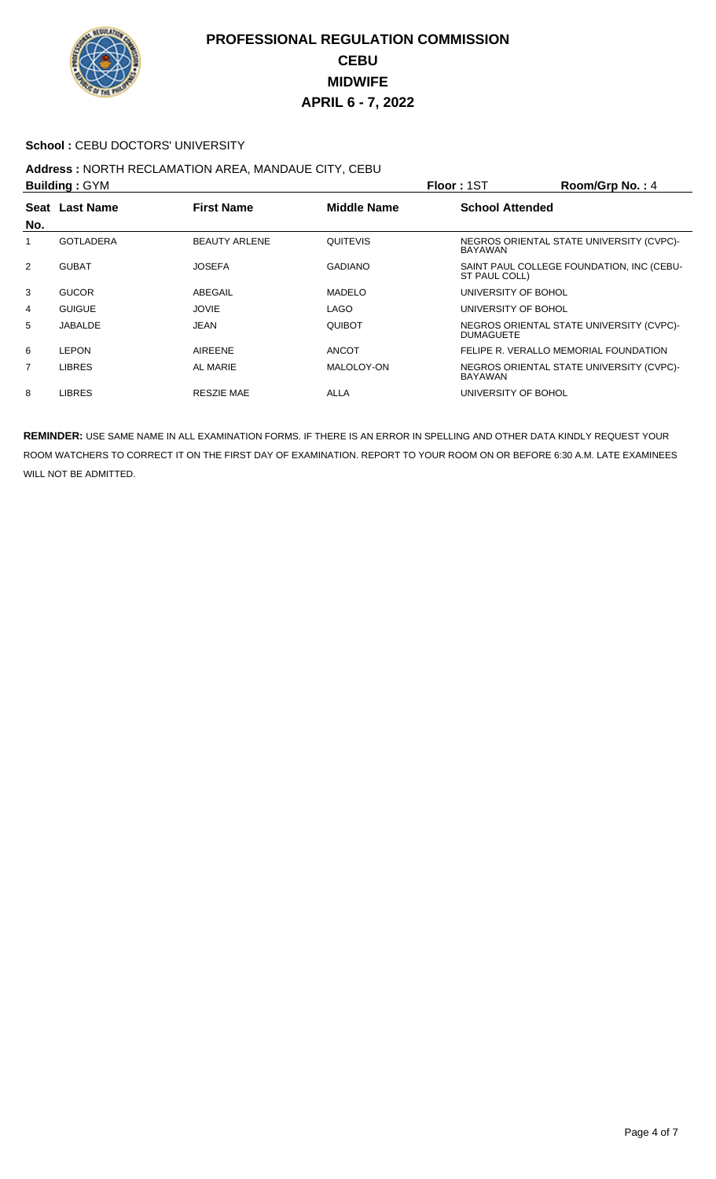

## **School : CEBU DOCTORS' UNIVERSITY**

#### **Address :** NORTH RECLAMATION AREA, MANDAUE CITY, CEBU **Building :** GYM **Floor :** 1ST **Room/Grp No. :** 4

| <b>DUILUILLY</b> . <b>DIILUI</b> |                  |                      |                | <b>FIUUI. 131</b><br>N                                       |
|----------------------------------|------------------|----------------------|----------------|--------------------------------------------------------------|
| No.                              | Seat Last Name   | <b>First Name</b>    | Middle Name    | <b>School Attended</b>                                       |
|                                  | <b>GOTLADERA</b> | <b>BEAUTY ARLENE</b> | QUITEVIS       | NEGROS ORIENTAL STATE UNIVERSITY (CVPC)-<br>BAYAWAN          |
| 2                                | <b>GUBAT</b>     | <b>JOSEFA</b>        | <b>GADIANO</b> | SAINT PAUL COLLEGE FOUNDATION, INC (CEBU-<br>ST PAUL COLL)   |
| 3                                | <b>GUCOR</b>     | ABEGAIL              | <b>MADELO</b>  | UNIVERSITY OF BOHOL                                          |
| 4                                | <b>GUIGUE</b>    | <b>JOVIE</b>         | LAGO           | UNIVERSITY OF BOHOL                                          |
| 5                                | JABALDE          | JEAN                 | <b>QUIBOT</b>  | NEGROS ORIENTAL STATE UNIVERSITY (CVPC)-<br><b>DUMAGUETE</b> |
| 6                                | <b>LEPON</b>     | <b>AIREENE</b>       | <b>ANCOT</b>   | FELIPE R. VERALLO MEMORIAL FOUNDATION                        |
| $\overline{7}$                   | <b>LIBRES</b>    | AL MARIE             | MALOLOY-ON     | NEGROS ORIENTAL STATE UNIVERSITY (CVPC)-<br><b>BAYAWAN</b>   |
| 8                                | <b>LIBRES</b>    | <b>RESZIE MAE</b>    | <b>ALLA</b>    | UNIVERSITY OF BOHOL                                          |
|                                  |                  |                      |                |                                                              |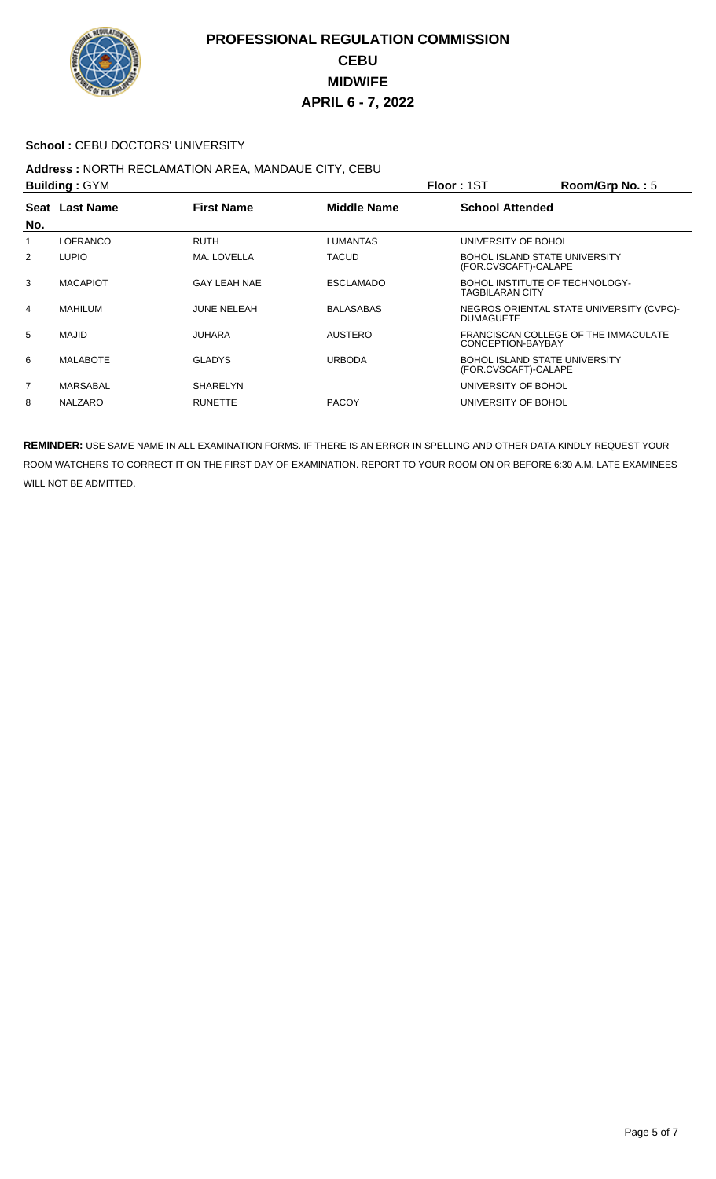

## School : CEBU DOCTORS' UNIVERSITY

# **Address :** NORTH RECLAMATION AREA, MANDAUE CITY, CEBU

| <b>Building: GYM</b>                                      |                 |                        | Floor: 1ST       | Room/Grp No.: $5$      |                                                           |  |
|-----------------------------------------------------------|-----------------|------------------------|------------------|------------------------|-----------------------------------------------------------|--|
| <b>First Name</b><br><b>Middle Name</b><br>Seat Last Name |                 | <b>School Attended</b> |                  |                        |                                                           |  |
| No.                                                       |                 |                        |                  |                        |                                                           |  |
| 1                                                         | <b>LOFRANCO</b> | <b>RUTH</b>            | <b>LUMANTAS</b>  | UNIVERSITY OF BOHOL    |                                                           |  |
| 2                                                         | <b>LUPIO</b>    | MA. LOVELLA            | <b>TACUD</b>     | (FOR.CVSCAFT)-CALAPE   | <b>BOHOL ISLAND STATE UNIVERSITY</b>                      |  |
| 3                                                         | <b>MACAPIOT</b> | GAY LEAH NAE           | <b>ESCLAMADO</b> | <b>TAGBILARAN CITY</b> | BOHOL INSTITUTE OF TECHNOLOGY-                            |  |
| 4                                                         | <b>MAHILUM</b>  | <b>JUNE NELEAH</b>     | <b>BALASABAS</b> | <b>DUMAGUETE</b>       | NEGROS ORIENTAL STATE UNIVERSITY (CVPC)-                  |  |
| 5                                                         | MAJID           | <b>JUHARA</b>          | <b>AUSTERO</b>   |                        | FRANCISCAN COLLEGE OF THE IMMACULATE<br>CONCEPTION-BAYBAY |  |
| 6                                                         | <b>MALABOTE</b> | <b>GLADYS</b>          | <b>URBODA</b>    | (FOR.CVSCAFT)-CALAPE   | <b>BOHOL ISLAND STATE UNIVERSITY</b>                      |  |
| $\overline{7}$                                            | MARSABAL        | SHARELYN               |                  | UNIVERSITY OF BOHOL    |                                                           |  |
| 8                                                         | <b>NALZARO</b>  | <b>RUNETTE</b>         | <b>PACOY</b>     | UNIVERSITY OF BOHOL    |                                                           |  |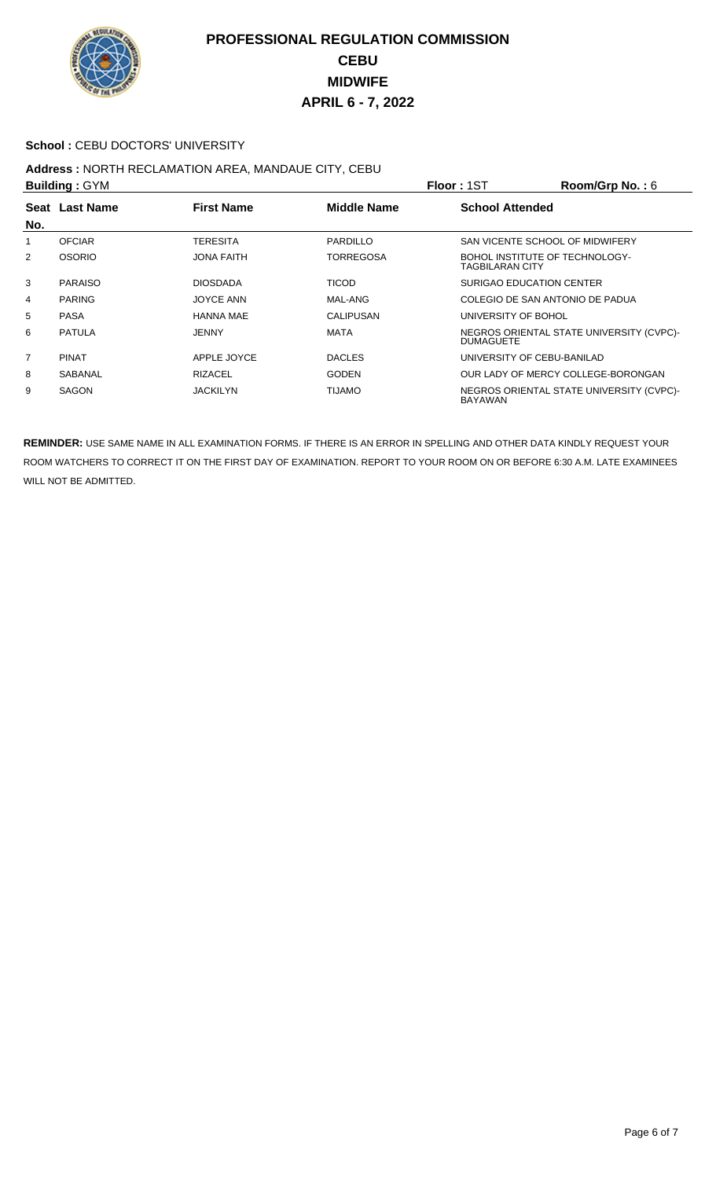

## School : CEBU DOCTORS' UNIVERSITY

# **Address :** NORTH RECLAMATION AREA, MANDAUE CITY, CEBU

| <b>Building: GYM</b> |                                                           |                   | Floor: 1ST             | Room/Grp No.: $6$                                            |                                    |  |
|----------------------|-----------------------------------------------------------|-------------------|------------------------|--------------------------------------------------------------|------------------------------------|--|
|                      | Seat Last Name<br><b>First Name</b><br><b>Middle Name</b> |                   | <b>School Attended</b> |                                                              |                                    |  |
| No.                  |                                                           |                   |                        |                                                              |                                    |  |
| 1                    | <b>OFCIAR</b>                                             | <b>TERESITA</b>   | PARDILLO               |                                                              | SAN VICENTE SCHOOL OF MIDWIFERY    |  |
| $\overline{2}$       | <b>OSORIO</b>                                             | <b>JONA FAITH</b> | <b>TORREGOSA</b>       | TAGBILARAN CITY                                              | BOHOL INSTITUTE OF TECHNOLOGY-     |  |
| 3                    | <b>PARAISO</b>                                            | <b>DIOSDADA</b>   | <b>TICOD</b>           |                                                              | <b>SURIGAO EDUCATION CENTER</b>    |  |
| 4                    | <b>PARING</b>                                             | <b>JOYCE ANN</b>  | MAL-ANG                |                                                              | COLEGIO DE SAN ANTONIO DE PADUA    |  |
| 5                    | <b>PASA</b>                                               | <b>HANNA MAE</b>  | CALIPUSAN              |                                                              | UNIVERSITY OF BOHOL                |  |
| 6                    | <b>PATULA</b>                                             | <b>JENNY</b>      | MATA                   | NEGROS ORIENTAL STATE UNIVERSITY (CVPC)-<br><b>DUMAGUETE</b> |                                    |  |
| $\overline{7}$       | <b>PINAT</b>                                              | APPLE JOYCE       | <b>DACLES</b>          |                                                              | UNIVERSITY OF CEBU-BANILAD         |  |
| 8                    | SABANAL                                                   | <b>RIZACEL</b>    | <b>GODEN</b>           |                                                              | OUR LADY OF MERCY COLLEGE-BORONGAN |  |
| 9                    | <b>SAGON</b>                                              | <b>JACKILYN</b>   | <b>OMALIT</b>          | NEGROS ORIENTAL STATE UNIVERSITY (CVPC)-<br>BAYAWAN          |                                    |  |